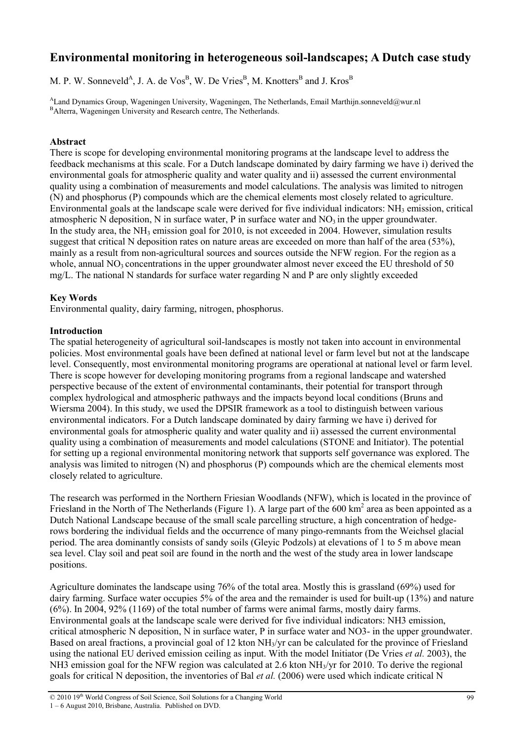# **Environmental monitoring in heterogeneous soil-landscapes; A Dutch case study**

M. P. W. Sonneveld<sup>A</sup>, J. A. de Vos<sup>B</sup>, W. De Vries<sup>B</sup>, M. Knotters<sup>B</sup> and J. Kros<sup>B</sup>

<sup>A</sup>Land Dynamics Group, Wageningen University, Wageningen, The Netherlands, Email Marthijn.sonneveld@wur.nl BAlterra, Wageningen University and Research centre, The Netherlands.

## **Abstract**

There is scope for developing environmental monitoring programs at the landscape level to address the feedback mechanisms at this scale. For a Dutch landscape dominated by dairy farming we have i) derived the environmental goals for atmospheric quality and water quality and ii) assessed the current environmental quality using a combination of measurements and model calculations. The analysis was limited to nitrogen (N) and phosphorus (P) compounds which are the chemical elements most closely related to agriculture. Environmental goals at the landscape scale were derived for five individual indicators:  $NH<sub>3</sub>$  emission, critical atmospheric N deposition. N in surface water, P in surface water and  $NO<sub>3</sub>$  in the upper groundwater. In the study area, the NH<sub>3</sub> emission goal for 2010, is not exceeded in 2004. However, simulation results suggest that critical N deposition rates on nature areas are exceeded on more than half of the area (53%), mainly as a result from non-agricultural sources and sources outside the NFW region. For the region as a whole, annual  $NO<sub>3</sub>$  concentrations in the upper groundwater almost never exceed the EU threshold of 50 mg/L. The national N standards for surface water regarding N and P are only slightly exceeded

## **Key Words**

Environmental quality, dairy farming, nitrogen, phosphorus.

## **Introduction**

The spatial heterogeneity of agricultural soil-landscapes is mostly not taken into account in environmental policies. Most environmental goals have been defined at national level or farm level but not at the landscape level. Consequently, most environmental monitoring programs are operational at national level or farm level. There is scope however for developing monitoring programs from a regional landscape and watershed perspective because of the extent of environmental contaminants, their potential for transport through complex hydrological and atmospheric pathways and the impacts beyond local conditions (Bruns and Wiersma 2004). In this study, we used the DPSIR framework as a tool to distinguish between various environmental indicators. For a Dutch landscape dominated by dairy farming we have i) derived for environmental goals for atmospheric quality and water quality and ii) assessed the current environmental quality using a combination of measurements and model calculations (STONE and Initiator). The potential for setting up a regional environmental monitoring network that supports self governance was explored. The analysis was limited to nitrogen (N) and phosphorus (P) compounds which are the chemical elements most closely related to agriculture.

The research was performed in the Northern Friesian Woodlands (NFW), which is located in the province of Friesland in the North of The Netherlands (Figure 1). A large part of the 600 km<sup>2</sup> area as been appointed as a Dutch National Landscape because of the small scale parcelling structure, a high concentration of hedgerows bordering the individual fields and the occurrence of many pingo-remnants from the Weichsel glacial period. The area dominantly consists of sandy soils (Gleyic Podzols) at elevations of 1 to 5 m above mean sea level. Clay soil and peat soil are found in the north and the west of the study area in lower landscape positions.

Agriculture dominates the landscape using 76% of the total area. Mostly this is grassland (69%) used for dairy farming. Surface water occupies 5% of the area and the remainder is used for built-up (13%) and nature (6%). In 2004, 92% (1169) of the total number of farms were animal farms, mostly dairy farms. Environmental goals at the landscape scale were derived for five individual indicators: NH3 emission, critical atmospheric N deposition, N in surface water, P in surface water and NO3- in the upper groundwater. Based on areal fractions, a provincial goal of 12 kton  $NH<sub>3</sub>/yr$  can be calculated for the province of Friesland using the national EU derived emission ceiling as input. With the model Initiator (De Vries *et al.* 2003), the NH3 emission goal for the NFW region was calculated at 2.6 kton NH<sub>3</sub>/yr for 2010. To derive the regional goals for critical N deposition, the inventories of Bal *et al.* (2006) were used which indicate critical N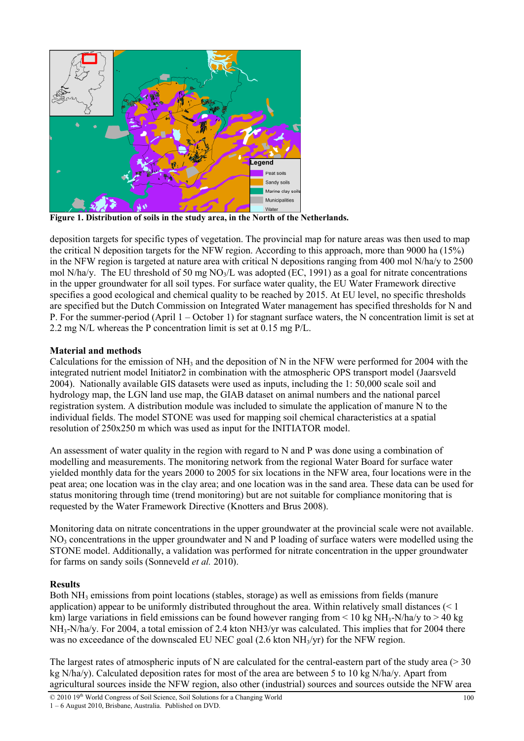

**Figure 1. Distribution of soils in the study area, in the North of the Netherlands.** 

deposition targets for specific types of vegetation. The provincial map for nature areas was then used to map the critical N deposition targets for the NFW region. According to this approach, more than 9000 ha (15%) in the NFW region is targeted at nature area with critical N depositions ranging from 400 mol N/ha/y to 2500 mol N/ha/y. The EU threshold of 50 mg NO<sub>3</sub>/L was adopted (EC, 1991) as a goal for nitrate concentrations in the upper groundwater for all soil types. For surface water quality, the EU Water Framework directive specifies a good ecological and chemical quality to be reached by 2015. At EU level, no specific thresholds are specified but the Dutch Commission on Integrated Water management has specified thresholds for N and P. For the summer-period (April 1 – October 1) for stagnant surface waters, the N concentration limit is set at 2.2 mg N/L whereas the P concentration limit is set at 0.15 mg P/L.

# **Material and methods**

Calculations for the emission of  $NH_3$  and the deposition of N in the NFW were performed for 2004 with the integrated nutrient model Initiator2 in combination with the atmospheric OPS transport model (Jaarsveld 2004). Nationally available GIS datasets were used as inputs, including the 1: 50,000 scale soil and hydrology map, the LGN land use map, the GIAB dataset on animal numbers and the national parcel registration system. A distribution module was included to simulate the application of manure N to the individual fields. The model STONE was used for mapping soil chemical characteristics at a spatial resolution of 250x250 m which was used as input for the INITIATOR model.

An assessment of water quality in the region with regard to N and P was done using a combination of modelling and measurements. The monitoring network from the regional Water Board for surface water yielded monthly data for the years 2000 to 2005 for six locations in the NFW area, four locations were in the peat area; one location was in the clay area; and one location was in the sand area. These data can be used for status monitoring through time (trend monitoring) but are not suitable for compliance monitoring that is requested by the Water Framework Directive (Knotters and Brus 2008).

Monitoring data on nitrate concentrations in the upper groundwater at the provincial scale were not available.  $NO<sub>3</sub>$  concentrations in the upper groundwater and N and P loading of surface waters were modelled using the STONE model. Additionally, a validation was performed for nitrate concentration in the upper groundwater for farms on sandy soils (Sonneveld *et al.* 2010).

## **Results**

Both  $NH<sub>3</sub>$  emissions from point locations (stables, storage) as well as emissions from fields (manure application) appear to be uniformly distributed throughout the area. Within relatively small distances (< 1 km) large variations in field emissions can be found however ranging from  $\leq 10$  kg NH<sub>3</sub>-N/ha/y to  $> 40$  kg NH<sub>3</sub>-N/ha/y. For 2004, a total emission of 2.4 kton NH3/yr was calculated. This implies that for 2004 there was no exceedance of the downscaled EU NEC goal (2.6 kton NH<sub>3</sub>/yr) for the NFW region.

The largest rates of atmospheric inputs of N are calculated for the central-eastern part of the study area ( $>$  30) kg N/ha/y). Calculated deposition rates for most of the area are between 5 to 10 kg N/ha/y. Apart from agricultural sources inside the NFW region, also other (industrial) sources and sources outside the NFW area